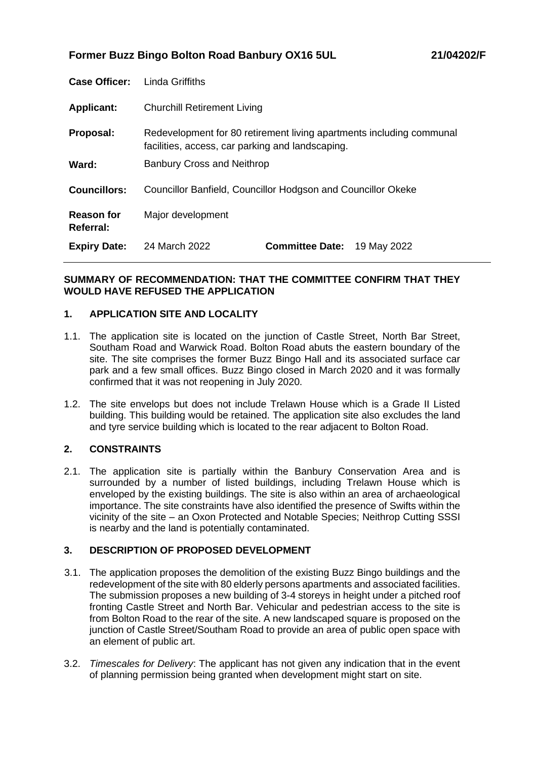**Former Buzz Bingo Bolton Road Banbury OX16 5UL 21/04202/F**

| <b>Case Officer:</b>           | <b>Linda Griffiths</b>                                                                                                   |                        |             |
|--------------------------------|--------------------------------------------------------------------------------------------------------------------------|------------------------|-------------|
| <b>Applicant:</b>              | <b>Churchill Retirement Living</b>                                                                                       |                        |             |
| Proposal:                      | Redevelopment for 80 retirement living apartments including communal<br>facilities, access, car parking and landscaping. |                        |             |
| Ward:                          | <b>Banbury Cross and Neithrop</b>                                                                                        |                        |             |
| <b>Councillors:</b>            | Councillor Banfield, Councillor Hodgson and Councillor Okeke                                                             |                        |             |
| <b>Reason for</b><br>Referral: | Major development                                                                                                        |                        |             |
| <b>Expiry Date:</b>            | 24 March 2022                                                                                                            | <b>Committee Date:</b> | 19 May 2022 |

## **SUMMARY OF RECOMMENDATION: THAT THE COMMITTEE CONFIRM THAT THEY WOULD HAVE REFUSED THE APPLICATION**

## **1. APPLICATION SITE AND LOCALITY**

- 1.1. The application site is located on the junction of Castle Street, North Bar Street, Southam Road and Warwick Road. Bolton Road abuts the eastern boundary of the site. The site comprises the former Buzz Bingo Hall and its associated surface car park and a few small offices. Buzz Bingo closed in March 2020 and it was formally confirmed that it was not reopening in July 2020.
- 1.2. The site envelops but does not include Trelawn House which is a Grade II Listed building. This building would be retained. The application site also excludes the land and tyre service building which is located to the rear adjacent to Bolton Road.

## **2. CONSTRAINTS**

2.1. The application site is partially within the Banbury Conservation Area and is surrounded by a number of listed buildings, including Trelawn House which is enveloped by the existing buildings. The site is also within an area of archaeological importance. The site constraints have also identified the presence of Swifts within the vicinity of the site – an Oxon Protected and Notable Species; Neithrop Cutting SSSI is nearby and the land is potentially contaminated.

## **3. DESCRIPTION OF PROPOSED DEVELOPMENT**

- 3.1. The application proposes the demolition of the existing Buzz Bingo buildings and the redevelopment of the site with 80 elderly persons apartments and associated facilities. The submission proposes a new building of 3-4 storeys in height under a pitched roof fronting Castle Street and North Bar. Vehicular and pedestrian access to the site is from Bolton Road to the rear of the site. A new landscaped square is proposed on the junction of Castle Street/Southam Road to provide an area of public open space with an element of public art.
- 3.2. *Timescales for Delivery*: The applicant has not given any indication that in the event of planning permission being granted when development might start on site.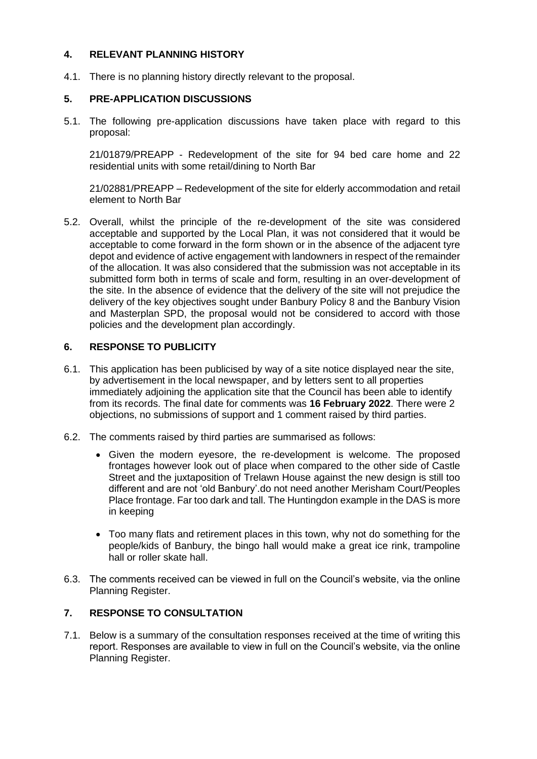## **4. RELEVANT PLANNING HISTORY**

4.1. There is no planning history directly relevant to the proposal.

## **5. PRE-APPLICATION DISCUSSIONS**

5.1. The following pre-application discussions have taken place with regard to this proposal:

21/01879/PREAPP - Redevelopment of the site for 94 bed care home and 22 residential units with some retail/dining to North Bar

21/02881/PREAPP – Redevelopment of the site for elderly accommodation and retail element to North Bar

5.2. Overall, whilst the principle of the re-development of the site was considered acceptable and supported by the Local Plan, it was not considered that it would be acceptable to come forward in the form shown or in the absence of the adjacent tyre depot and evidence of active engagement with landowners in respect of the remainder of the allocation. It was also considered that the submission was not acceptable in its submitted form both in terms of scale and form, resulting in an over-development of the site. In the absence of evidence that the delivery of the site will not prejudice the delivery of the key objectives sought under Banbury Policy 8 and the Banbury Vision and Masterplan SPD, the proposal would not be considered to accord with those policies and the development plan accordingly.

## **6. RESPONSE TO PUBLICITY**

- 6.1. This application has been publicised by way of a site notice displayed near the site, by advertisement in the local newspaper, and by letters sent to all properties immediately adjoining the application site that the Council has been able to identify from its records. The final date for comments was **16 February 2022**. There were 2 objections, no submissions of support and 1 comment raised by third parties.
- 6.2. The comments raised by third parties are summarised as follows:
	- Given the modern eyesore, the re-development is welcome. The proposed frontages however look out of place when compared to the other side of Castle Street and the juxtaposition of Trelawn House against the new design is still too different and are not 'old Banbury'.do not need another Merisham Court/Peoples Place frontage. Far too dark and tall. The Huntingdon example in the DAS is more in keeping
	- Too many flats and retirement places in this town, why not do something for the people/kids of Banbury, the bingo hall would make a great ice rink, trampoline hall or roller skate hall.
- 6.3. The comments received can be viewed in full on the Council's website, via the online Planning Register.

## **7. RESPONSE TO CONSULTATION**

7.1. Below is a summary of the consultation responses received at the time of writing this report. Responses are available to view in full on the Council's website, via the online Planning Register.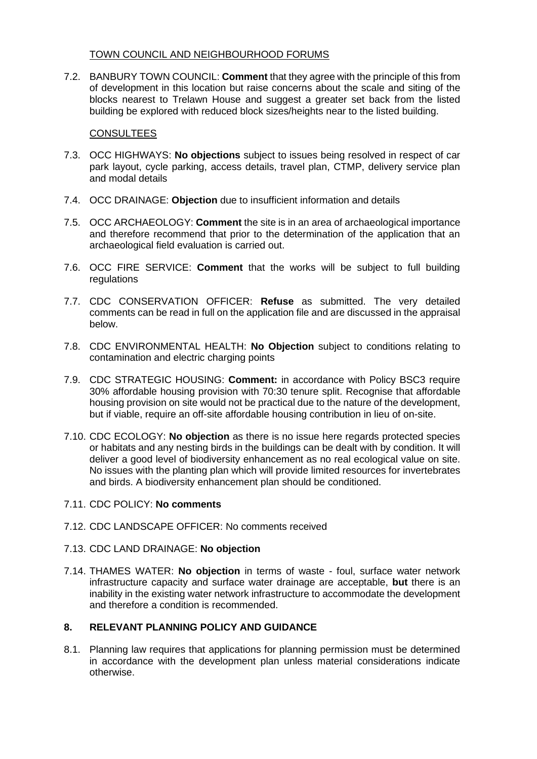## TOWN COUNCIL AND NEIGHBOURHOOD FORUMS

7.2. BANBURY TOWN COUNCIL: **Comment** that they agree with the principle of this from of development in this location but raise concerns about the scale and siting of the blocks nearest to Trelawn House and suggest a greater set back from the listed building be explored with reduced block sizes/heights near to the listed building.

## **CONSULTEES**

- 7.3. OCC HIGHWAYS: **No objections** subject to issues being resolved in respect of car park layout, cycle parking, access details, travel plan, CTMP, delivery service plan and modal details
- 7.4. OCC DRAINAGE: **Objection** due to insufficient information and details
- 7.5. OCC ARCHAEOLOGY: **Comment** the site is in an area of archaeological importance and therefore recommend that prior to the determination of the application that an archaeological field evaluation is carried out.
- 7.6. OCC FIRE SERVICE: **Comment** that the works will be subject to full building regulations
- 7.7. CDC CONSERVATION OFFICER: **Refuse** as submitted. The very detailed comments can be read in full on the application file and are discussed in the appraisal below.
- 7.8. CDC ENVIRONMENTAL HEALTH: **No Objection** subject to conditions relating to contamination and electric charging points
- 7.9. CDC STRATEGIC HOUSING: **Comment:** in accordance with Policy BSC3 require 30% affordable housing provision with 70:30 tenure split. Recognise that affordable housing provision on site would not be practical due to the nature of the development, but if viable, require an off-site affordable housing contribution in lieu of on-site.
- 7.10. CDC ECOLOGY: **No objection** as there is no issue here regards protected species or habitats and any nesting birds in the buildings can be dealt with by condition. It will deliver a good level of biodiversity enhancement as no real ecological value on site. No issues with the planting plan which will provide limited resources for invertebrates and birds. A biodiversity enhancement plan should be conditioned.
- 7.11. CDC POLICY: **No comments**
- 7.12. CDC LANDSCAPE OFFICER: No comments received

## 7.13. CDC LAND DRAINAGE: **No objection**

7.14. THAMES WATER: **No objection** in terms of waste - foul, surface water network infrastructure capacity and surface water drainage are acceptable, **but** there is an inability in the existing water network infrastructure to accommodate the development and therefore a condition is recommended.

## **8. RELEVANT PLANNING POLICY AND GUIDANCE**

8.1. Planning law requires that applications for planning permission must be determined in accordance with the development plan unless material considerations indicate otherwise.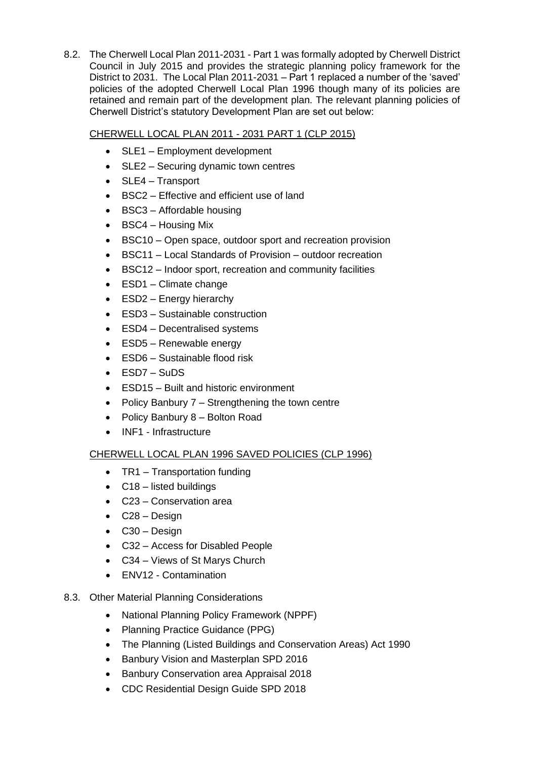8.2. The Cherwell Local Plan 2011-2031 - Part 1 was formally adopted by Cherwell District Council in July 2015 and provides the strategic planning policy framework for the District to 2031. The Local Plan 2011-2031 – Part 1 replaced a number of the 'saved' policies of the adopted Cherwell Local Plan 1996 though many of its policies are retained and remain part of the development plan. The relevant planning policies of Cherwell District's statutory Development Plan are set out below:

# CHERWELL LOCAL PLAN 2011 - 2031 PART 1 (CLP 2015)

- SLE1 Employment development
- SLE2 Securing dynamic town centres
- SLE4 Transport
- BSC2 Effective and efficient use of land
- BSC3 Affordable housing
- BSC4 Housing Mix
- BSC10 Open space, outdoor sport and recreation provision
- BSC11 Local Standards of Provision outdoor recreation
- BSC12 Indoor sport, recreation and community facilities
- ESD1 Climate change
- ESD2 Energy hierarchy
- ESD3 Sustainable construction
- ESD4 Decentralised systems
- ESD5 Renewable energy
- ESD6 Sustainable flood risk
- ESD7 SuDS
- ESD15 Built and historic environment
- Policy Banbury 7 Strengthening the town centre
- Policy Banbury 8 Bolton Road
- INF1 Infrastructure

# CHERWELL LOCAL PLAN 1996 SAVED POLICIES (CLP 1996)

- TR1 Transportation funding
- C18 listed buildings
- C23 Conservation area
- C28 Design
- C30 Design
- C32 Access for Disabled People
- C34 Views of St Marys Church
- ENV12 Contamination
- 8.3. Other Material Planning Considerations
	- National Planning Policy Framework (NPPF)
	- Planning Practice Guidance (PPG)
	- The Planning (Listed Buildings and Conservation Areas) Act 1990
	- Banbury Vision and Masterplan SPD 2016
	- Banbury Conservation area Appraisal 2018
	- CDC Residential Design Guide SPD 2018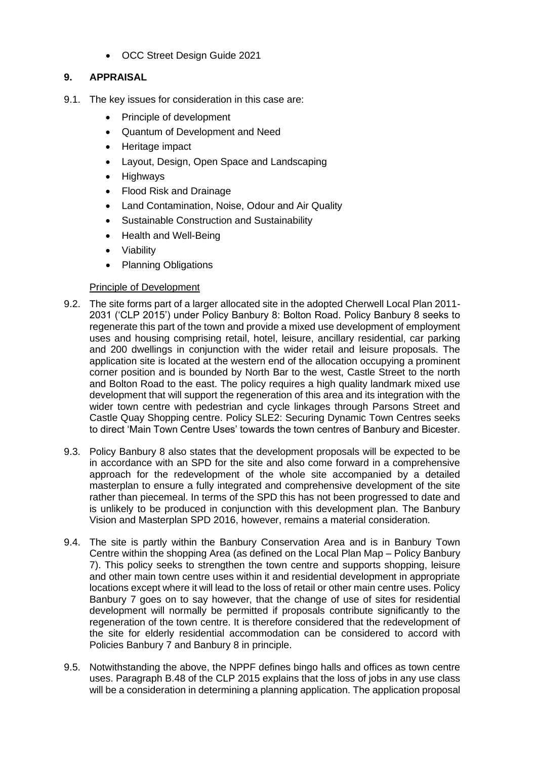• OCC Street Design Guide 2021

# **9. APPRAISAL**

- 9.1. The key issues for consideration in this case are:
	- Principle of development
	- Quantum of Development and Need
	- Heritage impact
	- Layout, Design, Open Space and Landscaping
	- **Highways**
	- Flood Risk and Drainage
	- Land Contamination, Noise, Odour and Air Quality
	- Sustainable Construction and Sustainability
	- Health and Well-Being
	- Viability
	- Planning Obligations

## Principle of Development

- 9.2. The site forms part of a larger allocated site in the adopted Cherwell Local Plan 2011- 2031 ('CLP 2015') under Policy Banbury 8: Bolton Road. Policy Banbury 8 seeks to regenerate this part of the town and provide a mixed use development of employment uses and housing comprising retail, hotel, leisure, ancillary residential, car parking and 200 dwellings in conjunction with the wider retail and leisure proposals. The application site is located at the western end of the allocation occupying a prominent corner position and is bounded by North Bar to the west, Castle Street to the north and Bolton Road to the east. The policy requires a high quality landmark mixed use development that will support the regeneration of this area and its integration with the wider town centre with pedestrian and cycle linkages through Parsons Street and Castle Quay Shopping centre. Policy SLE2: Securing Dynamic Town Centres seeks to direct 'Main Town Centre Uses' towards the town centres of Banbury and Bicester.
- 9.3. Policy Banbury 8 also states that the development proposals will be expected to be in accordance with an SPD for the site and also come forward in a comprehensive approach for the redevelopment of the whole site accompanied by a detailed masterplan to ensure a fully integrated and comprehensive development of the site rather than piecemeal. In terms of the SPD this has not been progressed to date and is unlikely to be produced in conjunction with this development plan. The Banbury Vision and Masterplan SPD 2016, however, remains a material consideration.
- 9.4. The site is partly within the Banbury Conservation Area and is in Banbury Town Centre within the shopping Area (as defined on the Local Plan Map – Policy Banbury 7). This policy seeks to strengthen the town centre and supports shopping, leisure and other main town centre uses within it and residential development in appropriate locations except where it will lead to the loss of retail or other main centre uses. Policy Banbury 7 goes on to say however, that the change of use of sites for residential development will normally be permitted if proposals contribute significantly to the regeneration of the town centre. It is therefore considered that the redevelopment of the site for elderly residential accommodation can be considered to accord with Policies Banbury 7 and Banbury 8 in principle.
- 9.5. Notwithstanding the above, the NPPF defines bingo halls and offices as town centre uses. Paragraph B.48 of the CLP 2015 explains that the loss of jobs in any use class will be a consideration in determining a planning application. The application proposal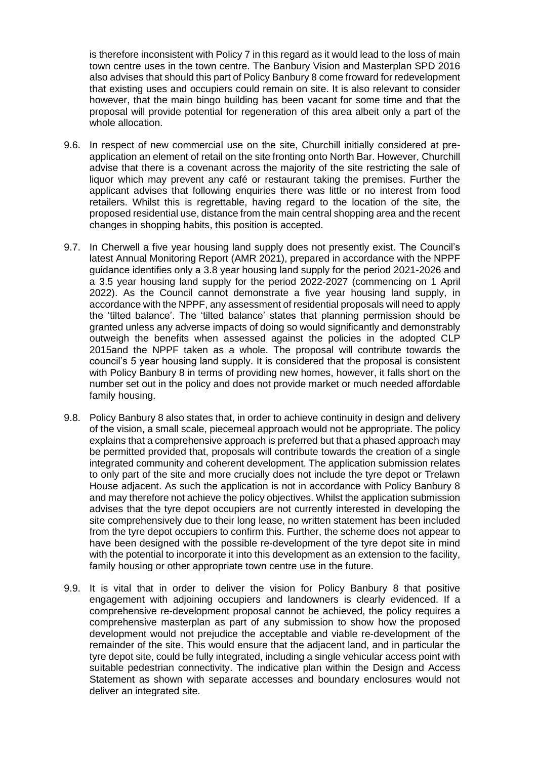is therefore inconsistent with Policy 7 in this regard as it would lead to the loss of main town centre uses in the town centre. The Banbury Vision and Masterplan SPD 2016 also advises that should this part of Policy Banbury 8 come froward for redevelopment that existing uses and occupiers could remain on site. It is also relevant to consider however, that the main bingo building has been vacant for some time and that the proposal will provide potential for regeneration of this area albeit only a part of the whole allocation.

- 9.6. In respect of new commercial use on the site, Churchill initially considered at preapplication an element of retail on the site fronting onto North Bar. However, Churchill advise that there is a covenant across the majority of the site restricting the sale of liquor which may prevent any café or restaurant taking the premises. Further the applicant advises that following enquiries there was little or no interest from food retailers. Whilst this is regrettable, having regard to the location of the site, the proposed residential use, distance from the main central shopping area and the recent changes in shopping habits, this position is accepted.
- 9.7. In Cherwell a five year housing land supply does not presently exist. The Council's latest Annual Monitoring Report (AMR 2021), prepared in accordance with the NPPF guidance identifies only a 3.8 year housing land supply for the period 2021-2026 and a 3.5 year housing land supply for the period 2022-2027 (commencing on 1 April 2022). As the Council cannot demonstrate a five year housing land supply, in accordance with the NPPF, any assessment of residential proposals will need to apply the 'tilted balance'. The 'tilted balance' states that planning permission should be granted unless any adverse impacts of doing so would significantly and demonstrably outweigh the benefits when assessed against the policies in the adopted CLP 2015and the NPPF taken as a whole. The proposal will contribute towards the council's 5 year housing land supply. It is considered that the proposal is consistent with Policy Banbury 8 in terms of providing new homes, however, it falls short on the number set out in the policy and does not provide market or much needed affordable family housing.
- 9.8. Policy Banbury 8 also states that, in order to achieve continuity in design and delivery of the vision, a small scale, piecemeal approach would not be appropriate. The policy explains that a comprehensive approach is preferred but that a phased approach may be permitted provided that, proposals will contribute towards the creation of a single integrated community and coherent development. The application submission relates to only part of the site and more crucially does not include the tyre depot or Trelawn House adjacent. As such the application is not in accordance with Policy Banbury 8 and may therefore not achieve the policy objectives. Whilst the application submission advises that the tyre depot occupiers are not currently interested in developing the site comprehensively due to their long lease, no written statement has been included from the tyre depot occupiers to confirm this. Further, the scheme does not appear to have been designed with the possible re-development of the tyre depot site in mind with the potential to incorporate it into this development as an extension to the facility, family housing or other appropriate town centre use in the future.
- 9.9. It is vital that in order to deliver the vision for Policy Banbury 8 that positive engagement with adjoining occupiers and landowners is clearly evidenced. If a comprehensive re-development proposal cannot be achieved, the policy requires a comprehensive masterplan as part of any submission to show how the proposed development would not prejudice the acceptable and viable re-development of the remainder of the site. This would ensure that the adjacent land, and in particular the tyre depot site, could be fully integrated, including a single vehicular access point with suitable pedestrian connectivity. The indicative plan within the Design and Access Statement as shown with separate accesses and boundary enclosures would not deliver an integrated site.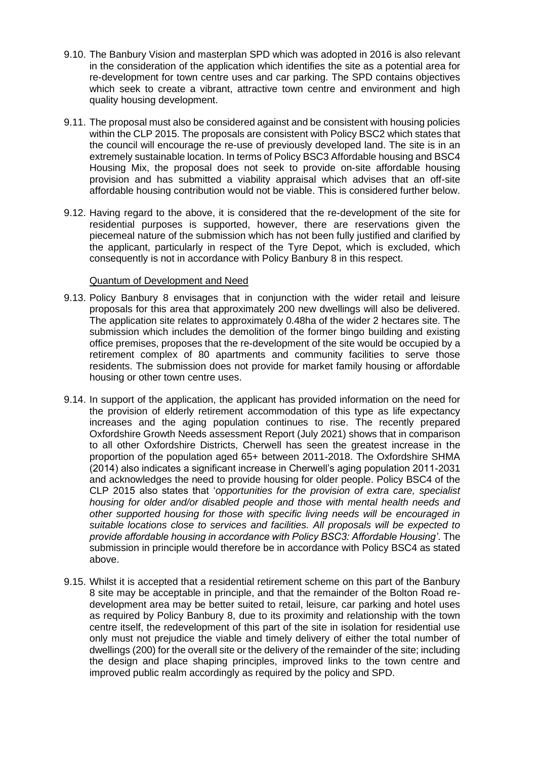- 9.10. The Banbury Vision and masterplan SPD which was adopted in 2016 is also relevant in the consideration of the application which identifies the site as a potential area for re-development for town centre uses and car parking. The SPD contains objectives which seek to create a vibrant, attractive town centre and environment and high quality housing development.
- 9.11. The proposal must also be considered against and be consistent with housing policies within the CLP 2015. The proposals are consistent with Policy BSC2 which states that the council will encourage the re-use of previously developed land. The site is in an extremely sustainable location. In terms of Policy BSC3 Affordable housing and BSC4 Housing Mix, the proposal does not seek to provide on-site affordable housing provision and has submitted a viability appraisal which advises that an off-site affordable housing contribution would not be viable. This is considered further below.
- 9.12. Having regard to the above, it is considered that the re-development of the site for residential purposes is supported, however, there are reservations given the piecemeal nature of the submission which has not been fully justified and clarified by the applicant, particularly in respect of the Tyre Depot, which is excluded, which consequently is not in accordance with Policy Banbury 8 in this respect.

## Quantum of Development and Need

- 9.13. Policy Banbury 8 envisages that in conjunction with the wider retail and leisure proposals for this area that approximately 200 new dwellings will also be delivered. The application site relates to approximately 0.48ha of the wider 2 hectares site. The submission which includes the demolition of the former bingo building and existing office premises, proposes that the re-development of the site would be occupied by a retirement complex of 80 apartments and community facilities to serve those residents. The submission does not provide for market family housing or affordable housing or other town centre uses.
- 9.14. In support of the application, the applicant has provided information on the need for the provision of elderly retirement accommodation of this type as life expectancy increases and the aging population continues to rise. The recently prepared Oxfordshire Growth Needs assessment Report (July 2021) shows that in comparison to all other Oxfordshire Districts, Cherwell has seen the greatest increase in the proportion of the population aged 65+ between 2011-2018. The Oxfordshire SHMA (2014) also indicates a significant increase in Cherwell's aging population 2011-2031 and acknowledges the need to provide housing for older people. Policy BSC4 of the CLP 2015 also states that '*opportunities for the provision of extra care, specialist housing for older and/or disabled people and those with mental health needs and other supported housing for those with specific living needs will be encouraged in suitable locations close to services and facilities. All proposals will be expected to provide affordable housing in accordance with Policy BSC3: Affordable Housing'*. The submission in principle would therefore be in accordance with Policy BSC4 as stated above.
- 9.15. Whilst it is accepted that a residential retirement scheme on this part of the Banbury 8 site may be acceptable in principle, and that the remainder of the Bolton Road redevelopment area may be better suited to retail, leisure, car parking and hotel uses as required by Policy Banbury 8, due to its proximity and relationship with the town centre itself, the redevelopment of this part of the site in isolation for residential use only must not prejudice the viable and timely delivery of either the total number of dwellings (200) for the overall site or the delivery of the remainder of the site; including the design and place shaping principles, improved links to the town centre and improved public realm accordingly as required by the policy and SPD.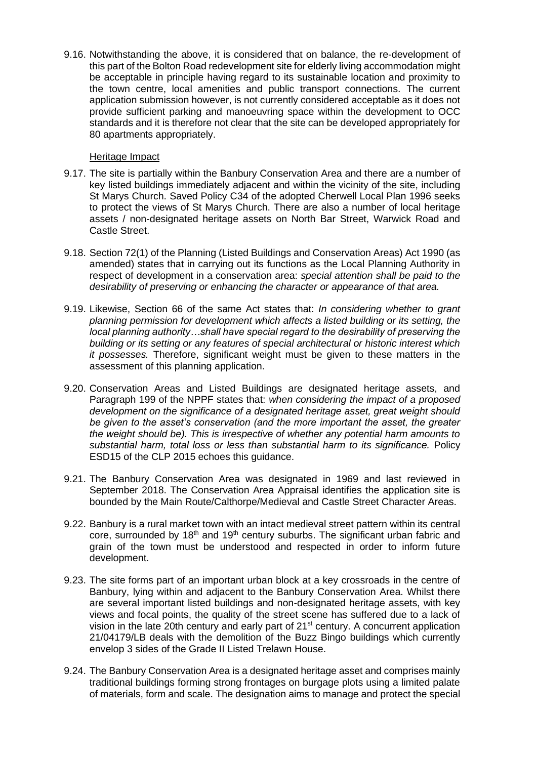9.16. Notwithstanding the above, it is considered that on balance, the re-development of this part of the Bolton Road redevelopment site for elderly living accommodation might be acceptable in principle having regard to its sustainable location and proximity to the town centre, local amenities and public transport connections. The current application submission however, is not currently considered acceptable as it does not provide sufficient parking and manoeuvring space within the development to OCC standards and it is therefore not clear that the site can be developed appropriately for 80 apartments appropriately.

#### Heritage Impact

- 9.17. The site is partially within the Banbury Conservation Area and there are a number of key listed buildings immediately adjacent and within the vicinity of the site, including St Marys Church. Saved Policy C34 of the adopted Cherwell Local Plan 1996 seeks to protect the views of St Marys Church. There are also a number of local heritage assets / non-designated heritage assets on North Bar Street, Warwick Road and Castle Street.
- 9.18. Section 72(1) of the Planning (Listed Buildings and Conservation Areas) Act 1990 (as amended) states that in carrying out its functions as the Local Planning Authority in respect of development in a conservation area: *special attention shall be paid to the desirability of preserving or enhancing the character or appearance of that area.*
- 9.19. Likewise, Section 66 of the same Act states that: *In considering whether to grant planning permission for development which affects a listed building or its setting, the local planning authority…shall have special regard to the desirability of preserving the building or its setting or any features of special architectural or historic interest which it possesses.* Therefore, significant weight must be given to these matters in the assessment of this planning application.
- 9.20. Conservation Areas and Listed Buildings are designated heritage assets, and Paragraph 199 of the NPPF states that: *when considering the impact of a proposed development on the significance of a designated heritage asset, great weight should be given to the asset's conservation (and the more important the asset, the greater the weight should be). This is irrespective of whether any potential harm amounts to substantial harm, total loss or less than substantial harm to its significance.* Policy ESD15 of the CLP 2015 echoes this guidance.
- 9.21. The Banbury Conservation Area was designated in 1969 and last reviewed in September 2018. The Conservation Area Appraisal identifies the application site is bounded by the Main Route/Calthorpe/Medieval and Castle Street Character Areas.
- 9.22. Banbury is a rural market town with an intact medieval street pattern within its central core, surrounded by 18<sup>th</sup> and 19<sup>th</sup> century suburbs. The significant urban fabric and grain of the town must be understood and respected in order to inform future development.
- 9.23. The site forms part of an important urban block at a key crossroads in the centre of Banbury, lying within and adjacent to the Banbury Conservation Area. Whilst there are several important listed buildings and non-designated heritage assets, with key views and focal points, the quality of the street scene has suffered due to a lack of vision in the late 20th century and early part of 21<sup>st</sup> century. A concurrent application 21/04179/LB deals with the demolition of the Buzz Bingo buildings which currently envelop 3 sides of the Grade II Listed Trelawn House.
- 9.24. The Banbury Conservation Area is a designated heritage asset and comprises mainly traditional buildings forming strong frontages on burgage plots using a limited palate of materials, form and scale. The designation aims to manage and protect the special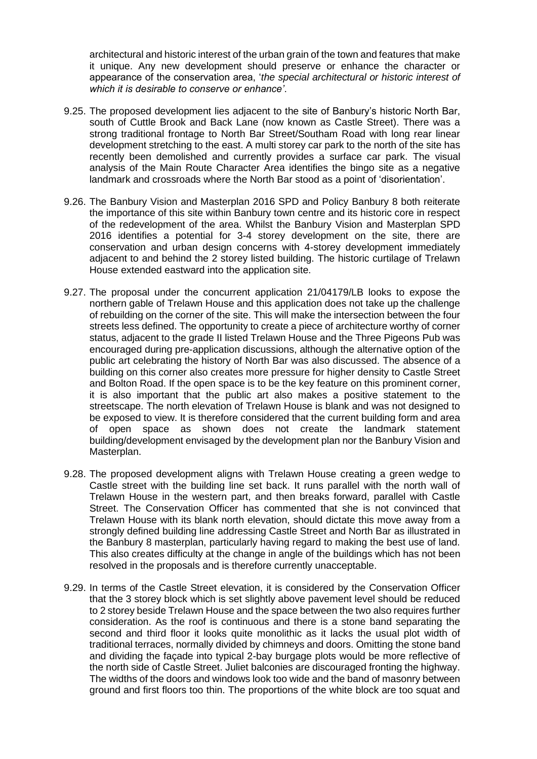architectural and historic interest of the urban grain of the town and features that make it unique. Any new development should preserve or enhance the character or appearance of the conservation area, '*the special architectural or historic interest of which it is desirable to conserve or enhance'*.

- 9.25. The proposed development lies adjacent to the site of Banbury's historic North Bar, south of Cuttle Brook and Back Lane (now known as Castle Street). There was a strong traditional frontage to North Bar Street/Southam Road with long rear linear development stretching to the east. A multi storey car park to the north of the site has recently been demolished and currently provides a surface car park. The visual analysis of the Main Route Character Area identifies the bingo site as a negative landmark and crossroads where the North Bar stood as a point of 'disorientation'.
- 9.26. The Banbury Vision and Masterplan 2016 SPD and Policy Banbury 8 both reiterate the importance of this site within Banbury town centre and its historic core in respect of the redevelopment of the area. Whilst the Banbury Vision and Masterplan SPD 2016 identifies a potential for 3-4 storey development on the site, there are conservation and urban design concerns with 4-storey development immediately adjacent to and behind the 2 storey listed building. The historic curtilage of Trelawn House extended eastward into the application site.
- 9.27. The proposal under the concurrent application 21/04179/LB looks to expose the northern gable of Trelawn House and this application does not take up the challenge of rebuilding on the corner of the site. This will make the intersection between the four streets less defined. The opportunity to create a piece of architecture worthy of corner status, adjacent to the grade II listed Trelawn House and the Three Pigeons Pub was encouraged during pre-application discussions, although the alternative option of the public art celebrating the history of North Bar was also discussed. The absence of a building on this corner also creates more pressure for higher density to Castle Street and Bolton Road. If the open space is to be the key feature on this prominent corner, it is also important that the public art also makes a positive statement to the streetscape. The north elevation of Trelawn House is blank and was not designed to be exposed to view. It is therefore considered that the current building form and area of open space as shown does not create the landmark statement building/development envisaged by the development plan nor the Banbury Vision and Masterplan.
- 9.28. The proposed development aligns with Trelawn House creating a green wedge to Castle street with the building line set back. It runs parallel with the north wall of Trelawn House in the western part, and then breaks forward, parallel with Castle Street. The Conservation Officer has commented that she is not convinced that Trelawn House with its blank north elevation, should dictate this move away from a strongly defined building line addressing Castle Street and North Bar as illustrated in the Banbury 8 masterplan, particularly having regard to making the best use of land. This also creates difficulty at the change in angle of the buildings which has not been resolved in the proposals and is therefore currently unacceptable.
- 9.29. In terms of the Castle Street elevation, it is considered by the Conservation Officer that the 3 storey block which is set slightly above pavement level should be reduced to 2 storey beside Trelawn House and the space between the two also requires further consideration. As the roof is continuous and there is a stone band separating the second and third floor it looks quite monolithic as it lacks the usual plot width of traditional terraces, normally divided by chimneys and doors. Omitting the stone band and dividing the façade into typical 2-bay burgage plots would be more reflective of the north side of Castle Street. Juliet balconies are discouraged fronting the highway. The widths of the doors and windows look too wide and the band of masonry between ground and first floors too thin. The proportions of the white block are too squat and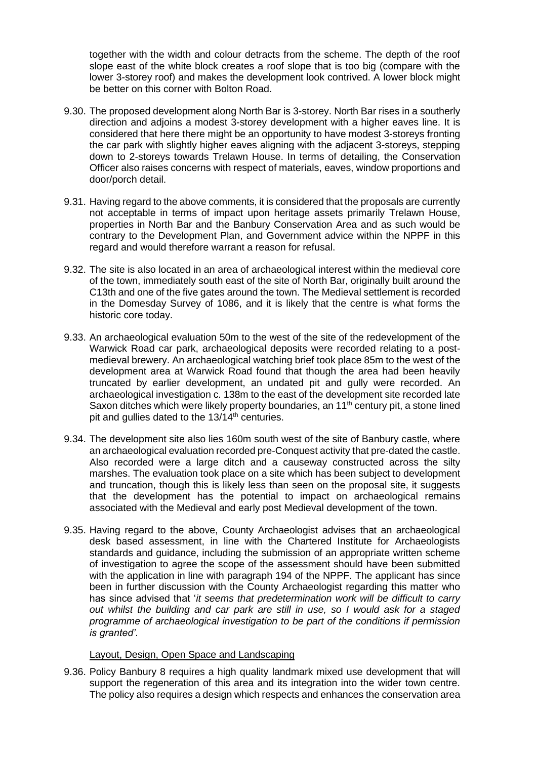together with the width and colour detracts from the scheme. The depth of the roof slope east of the white block creates a roof slope that is too big (compare with the lower 3-storey roof) and makes the development look contrived. A lower block might be better on this corner with Bolton Road.

- 9.30. The proposed development along North Bar is 3-storey. North Bar rises in a southerly direction and adjoins a modest 3-storey development with a higher eaves line. It is considered that here there might be an opportunity to have modest 3-storeys fronting the car park with slightly higher eaves aligning with the adjacent 3-storeys, stepping down to 2-storeys towards Trelawn House. In terms of detailing, the Conservation Officer also raises concerns with respect of materials, eaves, window proportions and door/porch detail.
- 9.31. Having regard to the above comments, it is considered that the proposals are currently not acceptable in terms of impact upon heritage assets primarily Trelawn House, properties in North Bar and the Banbury Conservation Area and as such would be contrary to the Development Plan, and Government advice within the NPPF in this regard and would therefore warrant a reason for refusal.
- 9.32. The site is also located in an area of archaeological interest within the medieval core of the town, immediately south east of the site of North Bar, originally built around the C13th and one of the five gates around the town. The Medieval settlement is recorded in the Domesday Survey of 1086, and it is likely that the centre is what forms the historic core today.
- 9.33. An archaeological evaluation 50m to the west of the site of the redevelopment of the Warwick Road car park, archaeological deposits were recorded relating to a postmedieval brewery. An archaeological watching brief took place 85m to the west of the development area at Warwick Road found that though the area had been heavily truncated by earlier development, an undated pit and gully were recorded. An archaeological investigation c. 138m to the east of the development site recorded late Saxon ditches which were likely property boundaries, an  $11<sup>th</sup>$  century pit, a stone lined pit and gullies dated to the  $13/14$ <sup>th</sup> centuries.
- 9.34. The development site also lies 160m south west of the site of Banbury castle, where an archaeological evaluation recorded pre-Conquest activity that pre-dated the castle. Also recorded were a large ditch and a causeway constructed across the silty marshes. The evaluation took place on a site which has been subject to development and truncation, though this is likely less than seen on the proposal site, it suggests that the development has the potential to impact on archaeological remains associated with the Medieval and early post Medieval development of the town.
- 9.35. Having regard to the above, County Archaeologist advises that an archaeological desk based assessment, in line with the Chartered Institute for Archaeologists standards and guidance, including the submission of an appropriate written scheme of investigation to agree the scope of the assessment should have been submitted with the application in line with paragraph 194 of the NPPF. The applicant has since been in further discussion with the County Archaeologist regarding this matter who has since advised that '*it seems that predetermination work will be difficult to carry out whilst the building and car park are still in use, so I would ask for a staged programme of archaeological investigation to be part of the conditions if permission is granted'*.

#### Layout, Design, Open Space and Landscaping

9.36. Policy Banbury 8 requires a high quality landmark mixed use development that will support the regeneration of this area and its integration into the wider town centre. The policy also requires a design which respects and enhances the conservation area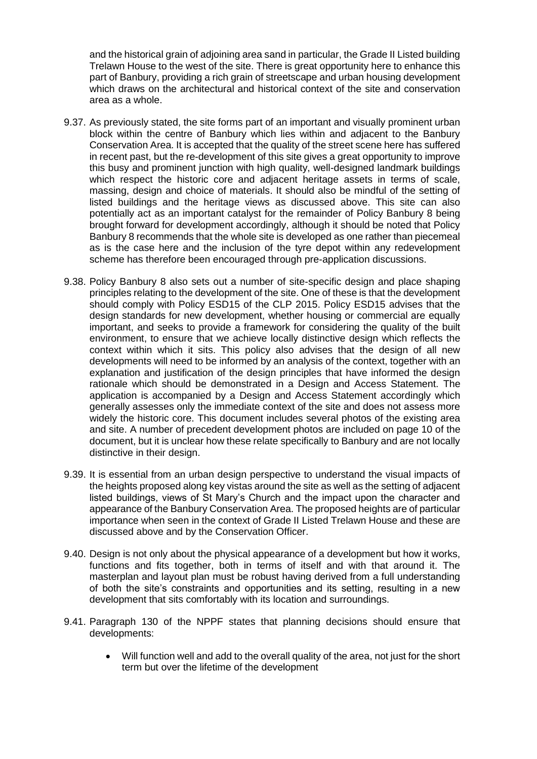and the historical grain of adjoining area sand in particular, the Grade II Listed building Trelawn House to the west of the site. There is great opportunity here to enhance this part of Banbury, providing a rich grain of streetscape and urban housing development which draws on the architectural and historical context of the site and conservation area as a whole.

- 9.37. As previously stated, the site forms part of an important and visually prominent urban block within the centre of Banbury which lies within and adjacent to the Banbury Conservation Area. It is accepted that the quality of the street scene here has suffered in recent past, but the re-development of this site gives a great opportunity to improve this busy and prominent junction with high quality, well-designed landmark buildings which respect the historic core and adiacent heritage assets in terms of scale. massing, design and choice of materials. It should also be mindful of the setting of listed buildings and the heritage views as discussed above. This site can also potentially act as an important catalyst for the remainder of Policy Banbury 8 being brought forward for development accordingly, although it should be noted that Policy Banbury 8 recommends that the whole site is developed as one rather than piecemeal as is the case here and the inclusion of the tyre depot within any redevelopment scheme has therefore been encouraged through pre-application discussions.
- 9.38. Policy Banbury 8 also sets out a number of site-specific design and place shaping principles relating to the development of the site. One of these is that the development should comply with Policy ESD15 of the CLP 2015. Policy ESD15 advises that the design standards for new development, whether housing or commercial are equally important, and seeks to provide a framework for considering the quality of the built environment, to ensure that we achieve locally distinctive design which reflects the context within which it sits. This policy also advises that the design of all new developments will need to be informed by an analysis of the context, together with an explanation and justification of the design principles that have informed the design rationale which should be demonstrated in a Design and Access Statement. The application is accompanied by a Design and Access Statement accordingly which generally assesses only the immediate context of the site and does not assess more widely the historic core. This document includes several photos of the existing area and site. A number of precedent development photos are included on page 10 of the document, but it is unclear how these relate specifically to Banbury and are not locally distinctive in their design.
- 9.39. It is essential from an urban design perspective to understand the visual impacts of the heights proposed along key vistas around the site as well as the setting of adjacent listed buildings, views of St Mary's Church and the impact upon the character and appearance of the Banbury Conservation Area. The proposed heights are of particular importance when seen in the context of Grade II Listed Trelawn House and these are discussed above and by the Conservation Officer.
- 9.40. Design is not only about the physical appearance of a development but how it works, functions and fits together, both in terms of itself and with that around it. The masterplan and layout plan must be robust having derived from a full understanding of both the site's constraints and opportunities and its setting, resulting in a new development that sits comfortably with its location and surroundings.
- 9.41. Paragraph 130 of the NPPF states that planning decisions should ensure that developments:
	- Will function well and add to the overall quality of the area, not just for the short term but over the lifetime of the development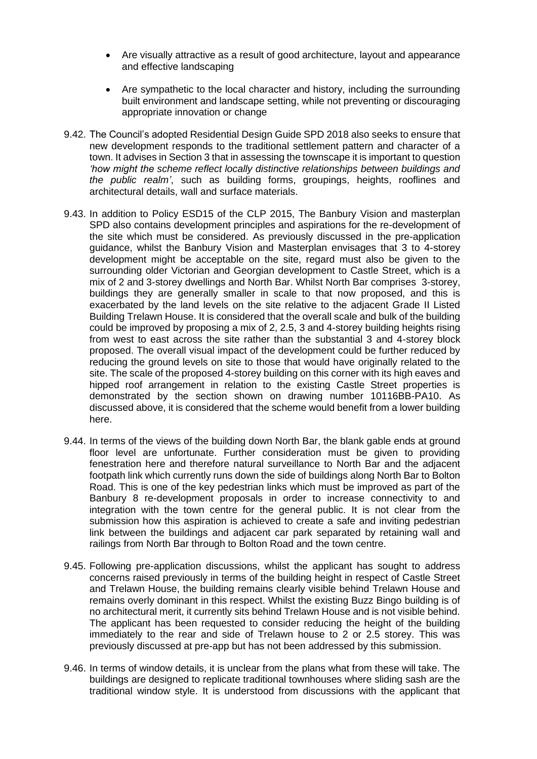- Are visually attractive as a result of good architecture, layout and appearance and effective landscaping
- Are sympathetic to the local character and history, including the surrounding built environment and landscape setting, while not preventing or discouraging appropriate innovation or change
- 9.42. The Council's adopted Residential Design Guide SPD 2018 also seeks to ensure that new development responds to the traditional settlement pattern and character of a town. It advises in Section 3 that in assessing the townscape it is important to question *'how might the scheme reflect locally distinctive relationships between buildings and the public realm'*, such as building forms, groupings, heights, rooflines and architectural details, wall and surface materials.
- 9.43. In addition to Policy ESD15 of the CLP 2015, The Banbury Vision and masterplan SPD also contains development principles and aspirations for the re-development of the site which must be considered. As previously discussed in the pre-application guidance, whilst the Banbury Vision and Masterplan envisages that 3 to 4-storey development might be acceptable on the site, regard must also be given to the surrounding older Victorian and Georgian development to Castle Street, which is a mix of 2 and 3-storey dwellings and North Bar. Whilst North Bar comprises 3-storey, buildings they are generally smaller in scale to that now proposed, and this is exacerbated by the land levels on the site relative to the adjacent Grade II Listed Building Trelawn House. It is considered that the overall scale and bulk of the building could be improved by proposing a mix of 2, 2.5, 3 and 4-storey building heights rising from west to east across the site rather than the substantial 3 and 4-storey block proposed. The overall visual impact of the development could be further reduced by reducing the ground levels on site to those that would have originally related to the site. The scale of the proposed 4-storey building on this corner with its high eaves and hipped roof arrangement in relation to the existing Castle Street properties is demonstrated by the section shown on drawing number 10116BB-PA10. As discussed above, it is considered that the scheme would benefit from a lower building here.
- 9.44. In terms of the views of the building down North Bar, the blank gable ends at ground floor level are unfortunate. Further consideration must be given to providing fenestration here and therefore natural surveillance to North Bar and the adjacent footpath link which currently runs down the side of buildings along North Bar to Bolton Road. This is one of the key pedestrian links which must be improved as part of the Banbury 8 re-development proposals in order to increase connectivity to and integration with the town centre for the general public. It is not clear from the submission how this aspiration is achieved to create a safe and inviting pedestrian link between the buildings and adjacent car park separated by retaining wall and railings from North Bar through to Bolton Road and the town centre.
- 9.45. Following pre-application discussions, whilst the applicant has sought to address concerns raised previously in terms of the building height in respect of Castle Street and Trelawn House, the building remains clearly visible behind Trelawn House and remains overly dominant in this respect. Whilst the existing Buzz Bingo building is of no architectural merit, it currently sits behind Trelawn House and is not visible behind. The applicant has been requested to consider reducing the height of the building immediately to the rear and side of Trelawn house to 2 or 2.5 storey. This was previously discussed at pre-app but has not been addressed by this submission.
- 9.46. In terms of window details, it is unclear from the plans what from these will take. The buildings are designed to replicate traditional townhouses where sliding sash are the traditional window style. It is understood from discussions with the applicant that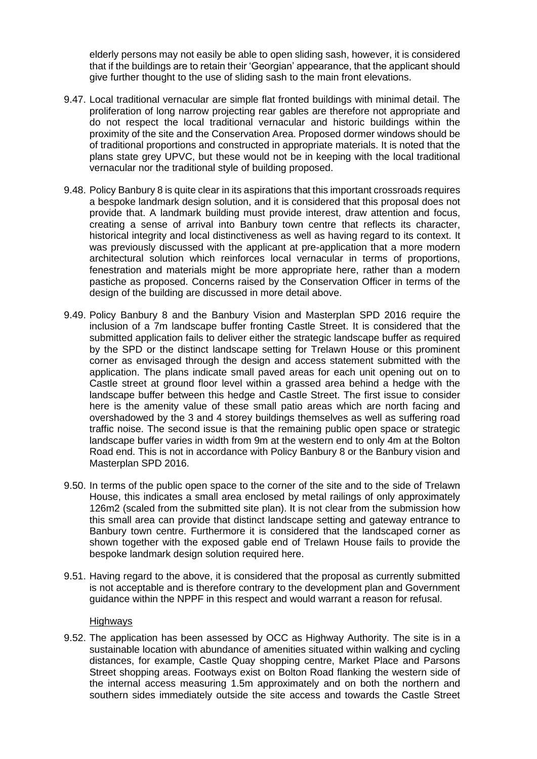elderly persons may not easily be able to open sliding sash, however, it is considered that if the buildings are to retain their 'Georgian' appearance, that the applicant should give further thought to the use of sliding sash to the main front elevations.

- 9.47. Local traditional vernacular are simple flat fronted buildings with minimal detail. The proliferation of long narrow projecting rear gables are therefore not appropriate and do not respect the local traditional vernacular and historic buildings within the proximity of the site and the Conservation Area. Proposed dormer windows should be of traditional proportions and constructed in appropriate materials. It is noted that the plans state grey UPVC, but these would not be in keeping with the local traditional vernacular nor the traditional style of building proposed.
- 9.48. Policy Banbury 8 is quite clear in its aspirations that this important crossroads requires a bespoke landmark design solution, and it is considered that this proposal does not provide that. A landmark building must provide interest, draw attention and focus, creating a sense of arrival into Banbury town centre that reflects its character, historical integrity and local distinctiveness as well as having regard to its context. It was previously discussed with the applicant at pre-application that a more modern architectural solution which reinforces local vernacular in terms of proportions, fenestration and materials might be more appropriate here, rather than a modern pastiche as proposed. Concerns raised by the Conservation Officer in terms of the design of the building are discussed in more detail above.
- 9.49. Policy Banbury 8 and the Banbury Vision and Masterplan SPD 2016 require the inclusion of a 7m landscape buffer fronting Castle Street. It is considered that the submitted application fails to deliver either the strategic landscape buffer as required by the SPD or the distinct landscape setting for Trelawn House or this prominent corner as envisaged through the design and access statement submitted with the application. The plans indicate small paved areas for each unit opening out on to Castle street at ground floor level within a grassed area behind a hedge with the landscape buffer between this hedge and Castle Street. The first issue to consider here is the amenity value of these small patio areas which are north facing and overshadowed by the 3 and 4 storey buildings themselves as well as suffering road traffic noise. The second issue is that the remaining public open space or strategic landscape buffer varies in width from 9m at the western end to only 4m at the Bolton Road end. This is not in accordance with Policy Banbury 8 or the Banbury vision and Masterplan SPD 2016.
- 9.50. In terms of the public open space to the corner of the site and to the side of Trelawn House, this indicates a small area enclosed by metal railings of only approximately 126m2 (scaled from the submitted site plan). It is not clear from the submission how this small area can provide that distinct landscape setting and gateway entrance to Banbury town centre. Furthermore it is considered that the landscaped corner as shown together with the exposed gable end of Trelawn House fails to provide the bespoke landmark design solution required here.
- 9.51. Having regard to the above, it is considered that the proposal as currently submitted is not acceptable and is therefore contrary to the development plan and Government guidance within the NPPF in this respect and would warrant a reason for refusal.

## **Highways**

9.52. The application has been assessed by OCC as Highway Authority. The site is in a sustainable location with abundance of amenities situated within walking and cycling distances, for example, Castle Quay shopping centre, Market Place and Parsons Street shopping areas. Footways exist on Bolton Road flanking the western side of the internal access measuring 1.5m approximately and on both the northern and southern sides immediately outside the site access and towards the Castle Street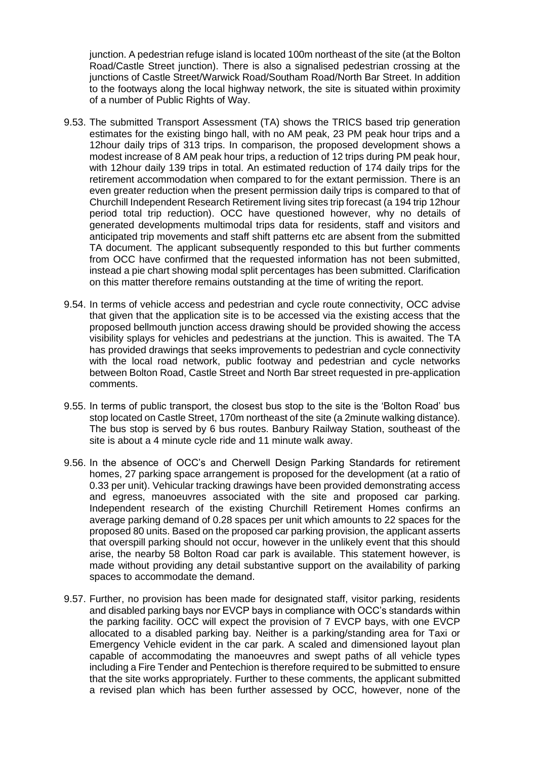junction. A pedestrian refuge island is located 100m northeast of the site (at the Bolton Road/Castle Street junction). There is also a signalised pedestrian crossing at the junctions of Castle Street/Warwick Road/Southam Road/North Bar Street. In addition to the footways along the local highway network, the site is situated within proximity of a number of Public Rights of Way.

- 9.53. The submitted Transport Assessment (TA) shows the TRICS based trip generation estimates for the existing bingo hall, with no AM peak, 23 PM peak hour trips and a 12hour daily trips of 313 trips. In comparison, the proposed development shows a modest increase of 8 AM peak hour trips, a reduction of 12 trips during PM peak hour, with 12hour daily 139 trips in total. An estimated reduction of 174 daily trips for the retirement accommodation when compared to for the extant permission. There is an even greater reduction when the present permission daily trips is compared to that of Churchill Independent Research Retirement living sites trip forecast (a 194 trip 12hour period total trip reduction). OCC have questioned however, why no details of generated developments multimodal trips data for residents, staff and visitors and anticipated trip movements and staff shift patterns etc are absent from the submitted TA document. The applicant subsequently responded to this but further comments from OCC have confirmed that the requested information has not been submitted, instead a pie chart showing modal split percentages has been submitted. Clarification on this matter therefore remains outstanding at the time of writing the report.
- 9.54. In terms of vehicle access and pedestrian and cycle route connectivity, OCC advise that given that the application site is to be accessed via the existing access that the proposed bellmouth junction access drawing should be provided showing the access visibility splays for vehicles and pedestrians at the junction. This is awaited. The TA has provided drawings that seeks improvements to pedestrian and cycle connectivity with the local road network, public footway and pedestrian and cycle networks between Bolton Road, Castle Street and North Bar street requested in pre-application comments.
- 9.55. In terms of public transport, the closest bus stop to the site is the 'Bolton Road' bus stop located on Castle Street, 170m northeast of the site (a 2minute walking distance). The bus stop is served by 6 bus routes. Banbury Railway Station, southeast of the site is about a 4 minute cycle ride and 11 minute walk away.
- 9.56. In the absence of OCC's and Cherwell Design Parking Standards for retirement homes, 27 parking space arrangement is proposed for the development (at a ratio of 0.33 per unit). Vehicular tracking drawings have been provided demonstrating access and egress, manoeuvres associated with the site and proposed car parking. Independent research of the existing Churchill Retirement Homes confirms an average parking demand of 0.28 spaces per unit which amounts to 22 spaces for the proposed 80 units. Based on the proposed car parking provision, the applicant asserts that overspill parking should not occur, however in the unlikely event that this should arise, the nearby 58 Bolton Road car park is available. This statement however, is made without providing any detail substantive support on the availability of parking spaces to accommodate the demand.
- 9.57. Further, no provision has been made for designated staff, visitor parking, residents and disabled parking bays nor EVCP bays in compliance with OCC's standards within the parking facility. OCC will expect the provision of 7 EVCP bays, with one EVCP allocated to a disabled parking bay. Neither is a parking/standing area for Taxi or Emergency Vehicle evident in the car park. A scaled and dimensioned layout plan capable of accommodating the manoeuvres and swept paths of all vehicle types including a Fire Tender and Pentechion is therefore required to be submitted to ensure that the site works appropriately. Further to these comments, the applicant submitted a revised plan which has been further assessed by OCC, however, none of the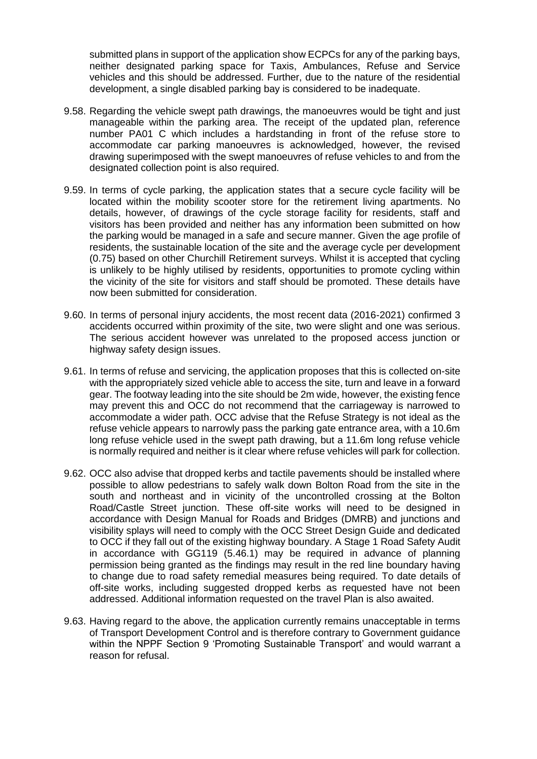submitted plans in support of the application show ECPCs for any of the parking bays, neither designated parking space for Taxis, Ambulances, Refuse and Service vehicles and this should be addressed. Further, due to the nature of the residential development, a single disabled parking bay is considered to be inadequate.

- 9.58. Regarding the vehicle swept path drawings, the manoeuvres would be tight and just manageable within the parking area. The receipt of the updated plan, reference number PA01 C which includes a hardstanding in front of the refuse store to accommodate car parking manoeuvres is acknowledged, however, the revised drawing superimposed with the swept manoeuvres of refuse vehicles to and from the designated collection point is also required.
- 9.59. In terms of cycle parking, the application states that a secure cycle facility will be located within the mobility scooter store for the retirement living apartments. No details, however, of drawings of the cycle storage facility for residents, staff and visitors has been provided and neither has any information been submitted on how the parking would be managed in a safe and secure manner. Given the age profile of residents, the sustainable location of the site and the average cycle per development (0.75) based on other Churchill Retirement surveys. Whilst it is accepted that cycling is unlikely to be highly utilised by residents, opportunities to promote cycling within the vicinity of the site for visitors and staff should be promoted. These details have now been submitted for consideration.
- 9.60. In terms of personal injury accidents, the most recent data (2016-2021) confirmed 3 accidents occurred within proximity of the site, two were slight and one was serious. The serious accident however was unrelated to the proposed access junction or highway safety design issues.
- 9.61. In terms of refuse and servicing, the application proposes that this is collected on-site with the appropriately sized vehicle able to access the site, turn and leave in a forward gear. The footway leading into the site should be 2m wide, however, the existing fence may prevent this and OCC do not recommend that the carriageway is narrowed to accommodate a wider path. OCC advise that the Refuse Strategy is not ideal as the refuse vehicle appears to narrowly pass the parking gate entrance area, with a 10.6m long refuse vehicle used in the swept path drawing, but a 11.6m long refuse vehicle is normally required and neither is it clear where refuse vehicles will park for collection.
- 9.62. OCC also advise that dropped kerbs and tactile pavements should be installed where possible to allow pedestrians to safely walk down Bolton Road from the site in the south and northeast and in vicinity of the uncontrolled crossing at the Bolton Road/Castle Street junction. These off-site works will need to be designed in accordance with Design Manual for Roads and Bridges (DMRB) and junctions and visibility splays will need to comply with the OCC Street Design Guide and dedicated to OCC if they fall out of the existing highway boundary. A Stage 1 Road Safety Audit in accordance with GG119 (5.46.1) may be required in advance of planning permission being granted as the findings may result in the red line boundary having to change due to road safety remedial measures being required. To date details of off-site works, including suggested dropped kerbs as requested have not been addressed. Additional information requested on the travel Plan is also awaited.
- 9.63. Having regard to the above, the application currently remains unacceptable in terms of Transport Development Control and is therefore contrary to Government guidance within the NPPF Section 9 'Promoting Sustainable Transport' and would warrant a reason for refusal.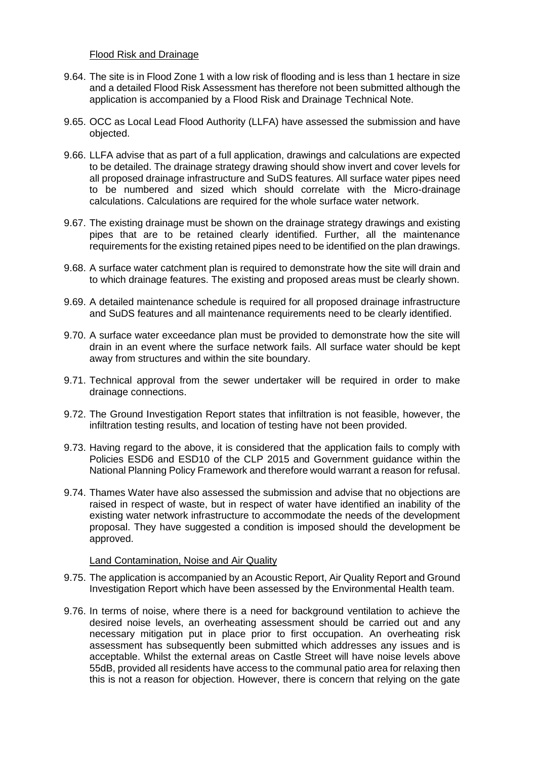#### Flood Risk and Drainage

- 9.64. The site is in Flood Zone 1 with a low risk of flooding and is less than 1 hectare in size and a detailed Flood Risk Assessment has therefore not been submitted although the application is accompanied by a Flood Risk and Drainage Technical Note.
- 9.65. OCC as Local Lead Flood Authority (LLFA) have assessed the submission and have objected.
- 9.66. LLFA advise that as part of a full application, drawings and calculations are expected to be detailed. The drainage strategy drawing should show invert and cover levels for all proposed drainage infrastructure and SuDS features. All surface water pipes need to be numbered and sized which should correlate with the Micro-drainage calculations. Calculations are required for the whole surface water network.
- 9.67. The existing drainage must be shown on the drainage strategy drawings and existing pipes that are to be retained clearly identified. Further, all the maintenance requirements for the existing retained pipes need to be identified on the plan drawings.
- 9.68. A surface water catchment plan is required to demonstrate how the site will drain and to which drainage features. The existing and proposed areas must be clearly shown.
- 9.69. A detailed maintenance schedule is required for all proposed drainage infrastructure and SuDS features and all maintenance requirements need to be clearly identified.
- 9.70. A surface water exceedance plan must be provided to demonstrate how the site will drain in an event where the surface network fails. All surface water should be kept away from structures and within the site boundary.
- 9.71. Technical approval from the sewer undertaker will be required in order to make drainage connections.
- 9.72. The Ground Investigation Report states that infiltration is not feasible, however, the infiltration testing results, and location of testing have not been provided.
- 9.73. Having regard to the above, it is considered that the application fails to comply with Policies ESD6 and ESD10 of the CLP 2015 and Government guidance within the National Planning Policy Framework and therefore would warrant a reason for refusal.
- 9.74. Thames Water have also assessed the submission and advise that no objections are raised in respect of waste, but in respect of water have identified an inability of the existing water network infrastructure to accommodate the needs of the development proposal. They have suggested a condition is imposed should the development be approved.

## Land Contamination, Noise and Air Quality

- 9.75. The application is accompanied by an Acoustic Report, Air Quality Report and Ground Investigation Report which have been assessed by the Environmental Health team.
- 9.76. In terms of noise, where there is a need for background ventilation to achieve the desired noise levels, an overheating assessment should be carried out and any necessary mitigation put in place prior to first occupation. An overheating risk assessment has subsequently been submitted which addresses any issues and is acceptable. Whilst the external areas on Castle Street will have noise levels above 55dB, provided all residents have access to the communal patio area for relaxing then this is not a reason for objection. However, there is concern that relying on the gate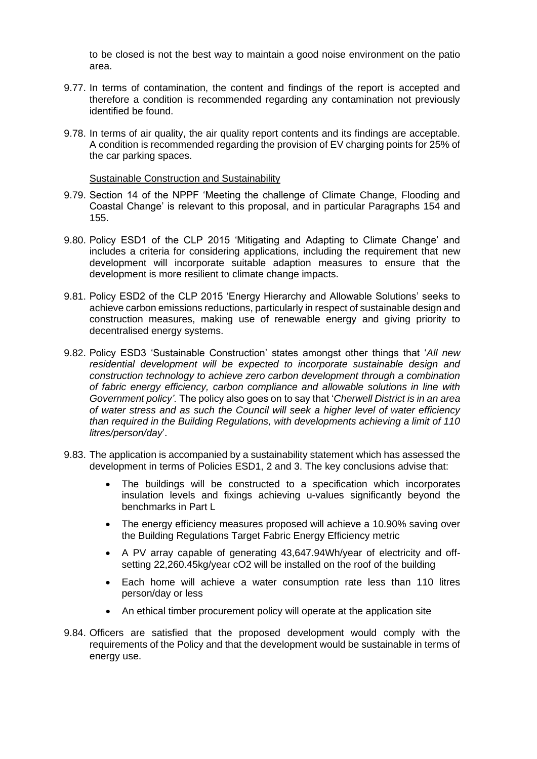to be closed is not the best way to maintain a good noise environment on the patio area.

- 9.77. In terms of contamination, the content and findings of the report is accepted and therefore a condition is recommended regarding any contamination not previously identified be found.
- 9.78. In terms of air quality, the air quality report contents and its findings are acceptable. A condition is recommended regarding the provision of EV charging points for 25% of the car parking spaces.

#### Sustainable Construction and Sustainability

- 9.79. Section 14 of the NPPF 'Meeting the challenge of Climate Change, Flooding and Coastal Change' is relevant to this proposal, and in particular Paragraphs 154 and 155.
- 9.80. Policy ESD1 of the CLP 2015 'Mitigating and Adapting to Climate Change' and includes a criteria for considering applications, including the requirement that new development will incorporate suitable adaption measures to ensure that the development is more resilient to climate change impacts.
- 9.81. Policy ESD2 of the CLP 2015 'Energy Hierarchy and Allowable Solutions' seeks to achieve carbon emissions reductions, particularly in respect of sustainable design and construction measures, making use of renewable energy and giving priority to decentralised energy systems.
- 9.82. Policy ESD3 'Sustainable Construction' states amongst other things that '*All new residential development will be expected to incorporate sustainable design and construction technology to achieve zero carbon development through a combination of fabric energy efficiency, carbon compliance and allowable solutions in line with Government policy'.* The policy also goes on to say that '*Cherwell District is in an area of water stress and as such the Council will seek a higher level of water efficiency than required in the Building Regulations, with developments achieving a limit of 110 litres/person/day*'.
- 9.83. The application is accompanied by a sustainability statement which has assessed the development in terms of Policies ESD1, 2 and 3. The key conclusions advise that:
	- The buildings will be constructed to a specification which incorporates insulation levels and fixings achieving u-values significantly beyond the benchmarks in Part L
	- The energy efficiency measures proposed will achieve a 10.90% saving over the Building Regulations Target Fabric Energy Efficiency metric
	- A PV array capable of generating 43,647.94Wh/year of electricity and offsetting 22,260.45kg/year cO2 will be installed on the roof of the building
	- Each home will achieve a water consumption rate less than 110 litres person/day or less
	- An ethical timber procurement policy will operate at the application site
- 9.84. Officers are satisfied that the proposed development would comply with the requirements of the Policy and that the development would be sustainable in terms of energy use.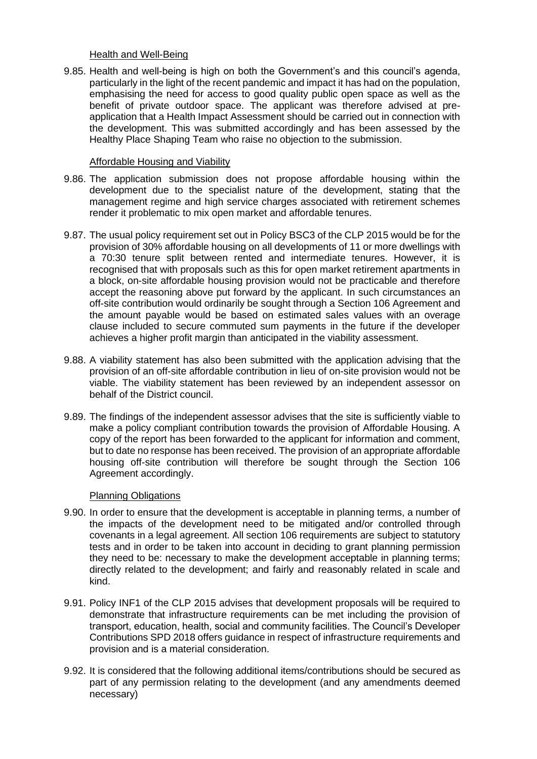#### Health and Well-Being

9.85. Health and well-being is high on both the Government's and this council's agenda, particularly in the light of the recent pandemic and impact it has had on the population, emphasising the need for access to good quality public open space as well as the benefit of private outdoor space. The applicant was therefore advised at preapplication that a Health Impact Assessment should be carried out in connection with the development. This was submitted accordingly and has been assessed by the Healthy Place Shaping Team who raise no objection to the submission.

#### Affordable Housing and Viability

- 9.86. The application submission does not propose affordable housing within the development due to the specialist nature of the development, stating that the management regime and high service charges associated with retirement schemes render it problematic to mix open market and affordable tenures.
- 9.87. The usual policy requirement set out in Policy BSC3 of the CLP 2015 would be for the provision of 30% affordable housing on all developments of 11 or more dwellings with a 70:30 tenure split between rented and intermediate tenures. However, it is recognised that with proposals such as this for open market retirement apartments in a block, on-site affordable housing provision would not be practicable and therefore accept the reasoning above put forward by the applicant. In such circumstances an off-site contribution would ordinarily be sought through a Section 106 Agreement and the amount payable would be based on estimated sales values with an overage clause included to secure commuted sum payments in the future if the developer achieves a higher profit margin than anticipated in the viability assessment.
- 9.88. A viability statement has also been submitted with the application advising that the provision of an off-site affordable contribution in lieu of on-site provision would not be viable. The viability statement has been reviewed by an independent assessor on behalf of the District council.
- 9.89. The findings of the independent assessor advises that the site is sufficiently viable to make a policy compliant contribution towards the provision of Affordable Housing. A copy of the report has been forwarded to the applicant for information and comment, but to date no response has been received. The provision of an appropriate affordable housing off-site contribution will therefore be sought through the Section 106 Agreement accordingly.

## Planning Obligations

- 9.90. In order to ensure that the development is acceptable in planning terms, a number of the impacts of the development need to be mitigated and/or controlled through covenants in a legal agreement. All section 106 requirements are subject to statutory tests and in order to be taken into account in deciding to grant planning permission they need to be: necessary to make the development acceptable in planning terms; directly related to the development; and fairly and reasonably related in scale and kind.
- 9.91. Policy INF1 of the CLP 2015 advises that development proposals will be required to demonstrate that infrastructure requirements can be met including the provision of transport, education, health, social and community facilities. The Council's Developer Contributions SPD 2018 offers guidance in respect of infrastructure requirements and provision and is a material consideration.
- 9.92. It is considered that the following additional items/contributions should be secured as part of any permission relating to the development (and any amendments deemed necessary)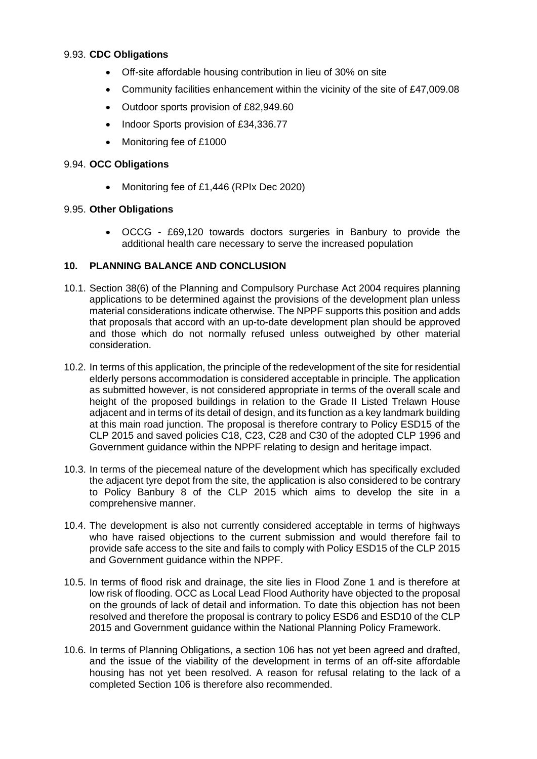## 9.93. **CDC Obligations**

- Off-site affordable housing contribution in lieu of 30% on site
- Community facilities enhancement within the vicinity of the site of £47,009.08
- Outdoor sports provision of £82,949.60
- Indoor Sports provision of £34,336,77
- Monitoring fee of £1000

### 9.94. **OCC Obligations**

• Monitoring fee of £1,446 (RPIx Dec 2020)

#### 9.95. **Other Obligations**

• OCCG - £69,120 towards doctors surgeries in Banbury to provide the additional health care necessary to serve the increased population

## **10. PLANNING BALANCE AND CONCLUSION**

- 10.1. Section 38(6) of the Planning and Compulsory Purchase Act 2004 requires planning applications to be determined against the provisions of the development plan unless material considerations indicate otherwise. The NPPF supports this position and adds that proposals that accord with an up-to-date development plan should be approved and those which do not normally refused unless outweighed by other material consideration.
- 10.2. In terms of this application, the principle of the redevelopment of the site for residential elderly persons accommodation is considered acceptable in principle. The application as submitted however, is not considered appropriate in terms of the overall scale and height of the proposed buildings in relation to the Grade II Listed Trelawn House adjacent and in terms of its detail of design, and its function as a key landmark building at this main road junction. The proposal is therefore contrary to Policy ESD15 of the CLP 2015 and saved policies C18, C23, C28 and C30 of the adopted CLP 1996 and Government guidance within the NPPF relating to design and heritage impact.
- 10.3. In terms of the piecemeal nature of the development which has specifically excluded the adjacent tyre depot from the site, the application is also considered to be contrary to Policy Banbury 8 of the CLP 2015 which aims to develop the site in a comprehensive manner.
- 10.4. The development is also not currently considered acceptable in terms of highways who have raised objections to the current submission and would therefore fail to provide safe access to the site and fails to comply with Policy ESD15 of the CLP 2015 and Government guidance within the NPPF.
- 10.5. In terms of flood risk and drainage, the site lies in Flood Zone 1 and is therefore at low risk of flooding. OCC as Local Lead Flood Authority have objected to the proposal on the grounds of lack of detail and information. To date this objection has not been resolved and therefore the proposal is contrary to policy ESD6 and ESD10 of the CLP 2015 and Government guidance within the National Planning Policy Framework.
- 10.6. In terms of Planning Obligations, a section 106 has not yet been agreed and drafted, and the issue of the viability of the development in terms of an off-site affordable housing has not yet been resolved. A reason for refusal relating to the lack of a completed Section 106 is therefore also recommended.